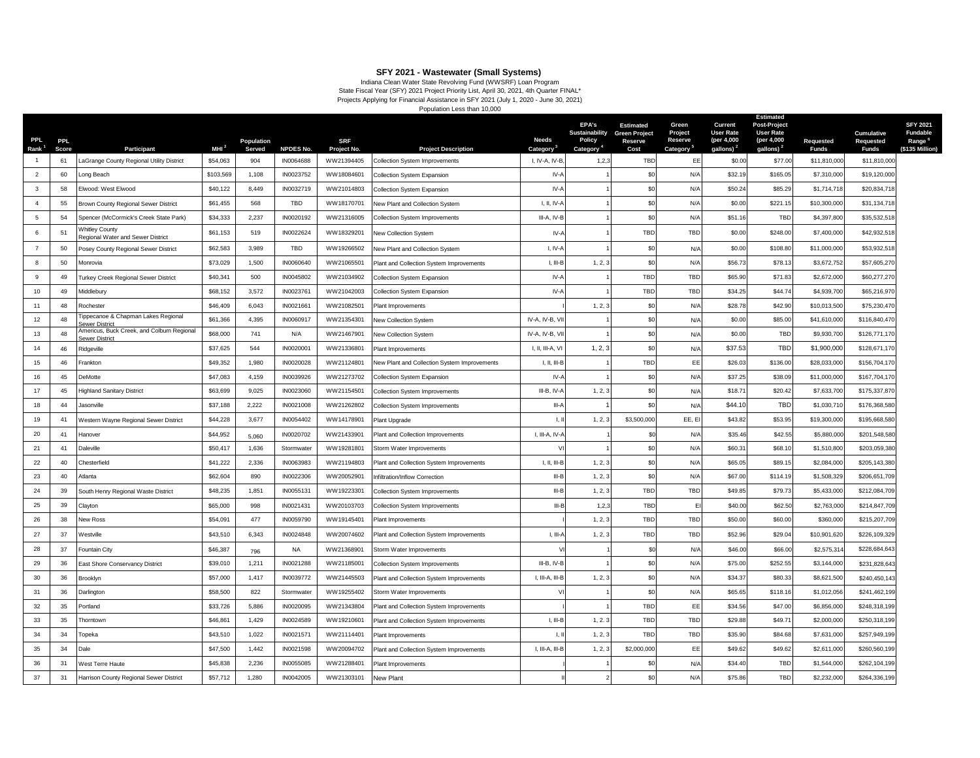**SFY 2021 - Wastewater (Small Systems)**<br>Indiana Clean Water State Revolving Fund (WWSRF) Loan Program<br>State Fiscal Year (SFY) 2021 Projects Applying for Financial Assistance in SFY 2021, (July 1, 2020 - June 30, 2021)

Population Less than 10,000

| <b>PPL</b><br>Rank <sup>1</sup> | <b>PPL</b><br>Score | Participant                                                 | MHI <sup>2</sup> | Population<br>Served | <b>NPDES No.</b> | <b>SRF</b><br>Project No. | <b>Project Description</b>                   | <b>Needs</b><br>Category                         | <b>EPA's</b><br>Sustainability<br><b>Policy</b><br>Category | <b>Estimated</b><br><b>Green Project</b><br>Reserve<br>Cost | Green<br>Project<br>Reserve<br>Category <sup>5</sup> | Current<br><b>User Rate</b><br>(per 4,000<br>gallons) <sup>2</sup> | <b>Estimated</b><br>Post-Project<br><b>User Rate</b><br>(per 4,000<br>gallons) <sup>2</sup> | Requested<br><b>Funds</b> | Cumulative<br>Requested<br><b>Funds</b> | <b>SFY 2021</b><br><b>Fundable</b><br>Range <sup>6</sup><br>(\$135 Million) |
|---------------------------------|---------------------|-------------------------------------------------------------|------------------|----------------------|------------------|---------------------------|----------------------------------------------|--------------------------------------------------|-------------------------------------------------------------|-------------------------------------------------------------|------------------------------------------------------|--------------------------------------------------------------------|---------------------------------------------------------------------------------------------|---------------------------|-----------------------------------------|-----------------------------------------------------------------------------|
| $\overline{1}$                  | 61                  | aGrange County Regional Utility District                    | \$54,063         | 904                  | IN0064688        | WW21394405                | Collection System Improvements               | I, IV-A, IV-B                                    | 1,2,3                                                       | <b>TBD</b>                                                  | EE                                                   | \$0.00                                                             | \$77.00                                                                                     | \$11,810,000              | \$11,810,000                            |                                                                             |
| $\overline{2}$                  | 60                  | ong Beach                                                   | \$103,569        | 1,108                | IN0023752        | WW18084601                | <b>Collection System Expansion</b>           | IV-A                                             |                                                             | \$0                                                         | N/A                                                  | \$32.19                                                            | \$165.05                                                                                    | \$7,310,000               | \$19,120,000                            |                                                                             |
| $\mathbf{3}$                    | 58                  | Elwood: West Elwood                                         | \$40,122         | 8.449                | IN0032719        | WW21014803                | <b>Collection System Expansion</b>           | $IV - A$                                         |                                                             | \$0                                                         | N/A                                                  | \$50.24                                                            | \$85.29                                                                                     | \$1,714,718               | \$20,834,718                            |                                                                             |
| $\overline{4}$                  | 55                  | Brown County Regional Sewer District                        | \$61,455         | 568                  | TBD              | WW18170701                | <b>New Plant and Collection System</b>       | I, II, IV-                                       |                                                             | \$0                                                         | N/A                                                  | \$0.00                                                             | \$221.15                                                                                    | \$10,300,000              | \$31,134,718                            |                                                                             |
| -5                              | 54                  | Spencer (McCormick's Creek State Park)                      | \$34,333         | 2,237                | IN0020192        | WW21316005                | <b>Collection System Improvements</b>        | III-A, IV-E                                      |                                                             | \$0                                                         | N/A                                                  | \$51.16                                                            | TBD                                                                                         | \$4,397,800               | \$35,532,518                            |                                                                             |
| 6                               | 51                  | Whitley County<br>Regional Water and Sewer District         | \$61,153         | 519                  | IN0022624        | WW18329201                | New Collection System                        | $IV - A$                                         |                                                             | TBD                                                         | TBD                                                  | \$0.00                                                             | \$248.00                                                                                    | \$7,400,000               | \$42,932,518                            |                                                                             |
| $\overline{7}$                  | 50                  | Posey County Regional Sewer District                        | \$62,583         | 3.989                | <b>TBD</b>       | WW19266502                | New Plant and Collection System              | $I. IV-f$                                        |                                                             | \$0                                                         | N/A                                                  | \$0.00                                                             | \$108.80                                                                                    | \$11,000,000              | \$53,932,518                            |                                                                             |
| 8                               | 50                  | Monrovia                                                    | \$73,029         | 1,500                | IN0060640        | WW21065501                | Plant and Collection System Improvements     | $I, III-B$                                       | 1, 2, 3                                                     | \$0                                                         | N/A                                                  | \$56.73                                                            | \$78.13                                                                                     | \$3,672,752               | \$57,605,270                            |                                                                             |
| 9                               | 49                  | Turkey Creek Regional Sewer District                        | \$40,341         | 500                  | IN0045802        | WW21034902                | <b>Collection System Expansion</b>           | $IV - A$                                         |                                                             | <b>TBD</b>                                                  | <b>TBD</b>                                           | \$65.90                                                            | \$71.83                                                                                     | \$2,672,000               | \$60,277,270                            |                                                                             |
| 10 <sup>10</sup>                | 49                  | Middlebury                                                  | \$68,152         | 3,572                | IN0023761        | WW21042003                | Collection System Expansion                  | $IV-J$                                           |                                                             | TBD                                                         | TBD                                                  | \$34.25                                                            | \$44.74                                                                                     | \$4,939,700               | \$65,216,97                             |                                                                             |
| 11                              | 48                  | Rochester                                                   | \$46,409         | 6,043                | IN0021661        | WW21082501                | Plant Improvements                           |                                                  | 1, 2, 3                                                     | \$0                                                         | N/A                                                  | \$28.78                                                            | \$42.90                                                                                     | \$10,013,500              | \$75,230,470                            |                                                                             |
| 12                              | 48                  | Tippecanoe & Chapman Lakes Regional<br>Sewer District       | \$61,366         | 4.395                | IN0060917        | WW21354301                | New Collection System                        | IV-A, IV-B, VI                                   |                                                             | \$0                                                         | N/A                                                  | \$0.00                                                             | \$85.00                                                                                     | \$41,610,000              | \$116,840,470                           |                                                                             |
| 13                              | 48                  | Americus, Buck Creek, and Colburn Regional<br>ewer District | \$68,000         | 741                  | N/A              | WW21467901                | <b>New Collection System</b>                 | IV-A, IV-B, V                                    |                                                             | \$0                                                         | N/A                                                  | \$0.00                                                             | TBD                                                                                         | \$9,930,700               | \$126,771,17                            |                                                                             |
| 14                              | 46                  | Ridgeville                                                  | \$37,625         | 544                  | IN0020001        | WW21336801                | Plant Improvements                           | I, II, III-A, V                                  | 1, 2, 3                                                     | \$0                                                         | N/A                                                  | \$37.53                                                            | <b>TBD</b>                                                                                  | \$1,900,000               | \$128,671,170                           |                                                                             |
| 15                              | 46                  | Frankton                                                    | \$49,352         | 1,980                | IN0020028        | WW21124801                | New Plant and Collection System Improvements | I, II, III-B                                     |                                                             | TBD                                                         | EE                                                   | \$26.03                                                            | \$136.00                                                                                    | \$28,033,000              | \$156,704,170                           |                                                                             |
| 16                              | 45                  | <b>DeMotte</b>                                              | \$47,083         | 4,159                | IN0039926        | WW21273702                | Collection System Expansion                  | $IV-$                                            |                                                             | \$0                                                         | N/A                                                  | \$37.25                                                            | \$38.09                                                                                     | \$11,000,000              | \$167,704,170                           |                                                                             |
| 17                              | 45                  | <b>Highland Sanitary District</b>                           | \$63,699         | 9,025                | IN0023060        | WW21154501                | Collection System Improvements               | $III-B, IV-$                                     | 1, 2, 3                                                     | \$0                                                         | N/A                                                  | \$18.71                                                            | \$20.42                                                                                     | \$7,633,700               | \$175,337,870                           |                                                                             |
| 18                              | 44                  | lasonville                                                  | \$37,188         | 2,222                | IN0021008        | WW21262802                | Collection System Improvements               | $III-A$                                          |                                                             | \$0                                                         | N/A                                                  | \$44.10                                                            | <b>TBD</b>                                                                                  | \$1,030,710               | \$176,368,580                           |                                                                             |
| 19                              | 41                  | Western Wayne Regional Sewer District                       | \$44,228         | 3,677                | IN0054402        | WW14178901                | Plant Upgrade                                | Ι.                                               | 1, 2, 3                                                     | \$3,500,000                                                 | EE, EI                                               | \$43.82                                                            | \$53.95                                                                                     | \$19,300,000              | \$195,668,580                           |                                                                             |
| 20                              | 41                  | Hanover                                                     | \$44,952         | 5,060                | IN0020702        | WW21433901                | Plant and Collection Improvements            | I, III-A, IV-                                    |                                                             | \$0                                                         | N/A                                                  | \$35.46                                                            | \$42.5                                                                                      | \$5,880,000               | \$201,548,580                           |                                                                             |
| 21                              | 41                  | Daleville                                                   | \$50,417         | 1,636                | Stormwater       | WW19281801                | Storm Water Improvements                     |                                                  |                                                             | \$0                                                         | N/A                                                  | \$60.31                                                            | \$68.10                                                                                     | \$1,510,800               | \$203,059,380                           |                                                                             |
| 22                              | 40                  | Chesterfield                                                | \$41,222         | 2,336                | IN0063983        | WW21194803                | Plant and Collection System Improvements     | I, II, III-B                                     | 1, 2, 3                                                     | \$0                                                         | N/A                                                  | \$65.05                                                            | \$89.15                                                                                     | \$2,084,000               | \$205,143,380                           |                                                                             |
| 23                              | 40                  | Atlanta                                                     | \$62,604         | 890                  | IN0022306        | WW20052901                | Infiltration/Inflow Correction               | $III - E$                                        | 1, 2, 3                                                     | \$0                                                         | N/A                                                  | \$67.00                                                            | \$114.19                                                                                    | \$1,508,329               | \$206,651,709                           |                                                                             |
| 24                              | 39                  | South Henry Regional Waste District                         | \$48,235         | 1,851                | IN0055131        | WW19223301                | Collection System Improvements               | $III - E$                                        | 1, 2, 3                                                     | TBD                                                         | TBD                                                  | \$49.85                                                            | \$79.73                                                                                     | \$5,433,000               | \$212,084,709                           |                                                                             |
| 25                              | 39                  | Clayton                                                     | \$65,000         | 998                  | IN0021431        | WW20103703                | Collection System Improvements               | $III-B$                                          | 1,2,3                                                       | TBD                                                         | EI                                                   | \$40.00                                                            | \$62.50                                                                                     | \$2,763,000               | \$214,847,709                           |                                                                             |
| 26                              | 38                  | <b>New Ross</b>                                             | \$54,091         | 477                  | IN0059790        | WW19145401                | Plant Improvements                           |                                                  | 1, 2, 3                                                     | TBD                                                         | TBD                                                  | \$50.00                                                            | \$60.00                                                                                     | \$360,000                 | \$215,207,709                           |                                                                             |
| 27                              | 37                  | Nestville                                                   | \$43,510         | 6,343                | IN0024848        | WW20074602                | Plant and Collection System Improvements     | $\parallel$ , $\parallel$ $\parallel$ - $\angle$ | 1, 2, 3                                                     | TBD                                                         | TBD                                                  | \$52.96                                                            | \$29.04                                                                                     | \$10,901,620              | \$226,109,329                           |                                                                             |
| 28                              | 37                  | Fountain City                                               | \$46,387         | 796                  | <b>NA</b>        | WW21368901                | Storm Water Improvements                     |                                                  |                                                             | \$0                                                         | N/A                                                  | \$46.00                                                            | \$66.00                                                                                     | \$2,575,31                | \$228,684,643                           |                                                                             |
| 29                              | 36                  | East Shore Conservancy District                             | \$39,010         | 1,211                | IN0021288        | WW21185001                | Collection System Improvements               | III-B, IV-E                                      |                                                             | \$0                                                         | N/A                                                  | \$75.00                                                            | \$252.55                                                                                    | \$3,144,000               | \$231,828,64                            |                                                                             |
| 30                              | 36                  | Brooklyn                                                    | \$57,000         | 1,417                | IN0039772        | WW21445503                | Plant and Collection System Improvements     | I, III-A, III-B                                  | 1, 2, 3                                                     | \$0                                                         | N/A                                                  | \$34.37                                                            | \$80.33                                                                                     | \$8,621,500               | \$240,450,143                           |                                                                             |
| 31                              | 36                  | Darlington                                                  | \$58,500         | 822                  | Stormwater       | WW19255402                | Storm Water Improvements                     |                                                  |                                                             | \$0                                                         | N/A                                                  | \$65.65                                                            | \$118.16                                                                                    | \$1,012,056               | \$241,462,19                            |                                                                             |
| 32                              | 35                  | Portland                                                    | \$33,726         | 5,886                | IN0020095        | WW21343804                | Plant and Collection System Improvements     |                                                  |                                                             | TBD                                                         | EE                                                   | \$34.56                                                            | \$47.00                                                                                     | \$6,856,000               | \$248,318,199                           |                                                                             |
| 33                              | 35                  | Thorntown                                                   | \$46,861         | 1,429                | IN0024589        | WW19210601                | Plant and Collection System Improvements     | I, III-E                                         | 1, 2.3                                                      | TBD                                                         | TBD                                                  | \$29.88                                                            | \$49.7'                                                                                     | \$2,000,000               | \$250,318,199                           |                                                                             |
| 34                              | 34                  | Topeka                                                      | \$43,510         | 1,022                | IN0021571        | WW21114401                | Plant Improvements                           | Ш.                                               | 1, 2, 3                                                     | <b>TBD</b>                                                  | TBD                                                  | \$35.90                                                            | \$84.68                                                                                     | \$7,631,000               | \$257,949,199                           |                                                                             |
| 35                              | 34                  | Dale                                                        | \$47,500         | 1,442                | IN0021598        | WW20094702                | Plant and Collection System Improvements     | I, III-A, III-E                                  | 1, 2, 3                                                     | \$2,000,000                                                 | EE                                                   | \$49.62                                                            | \$49.62                                                                                     | \$2,611,000               | \$260,560,199                           |                                                                             |
| 36                              | 31                  | West Terre Haute                                            | \$45,838         | 2,236                | IN0055085        | WW21288401                | Plant Improvements                           |                                                  |                                                             | -\$0                                                        | N/f                                                  | \$34.40                                                            | TBD                                                                                         | \$1,544,000               | \$262,104,199                           |                                                                             |
| 37                              | 31                  | Harrison County Regional Sewer District                     | \$57,712         | 1,280                | IN0042005        | WW21303101                | New Plant                                    |                                                  |                                                             | \$0                                                         | N/A                                                  | \$75.86                                                            | TBD                                                                                         | \$2,232,000               | \$264,336,199                           |                                                                             |